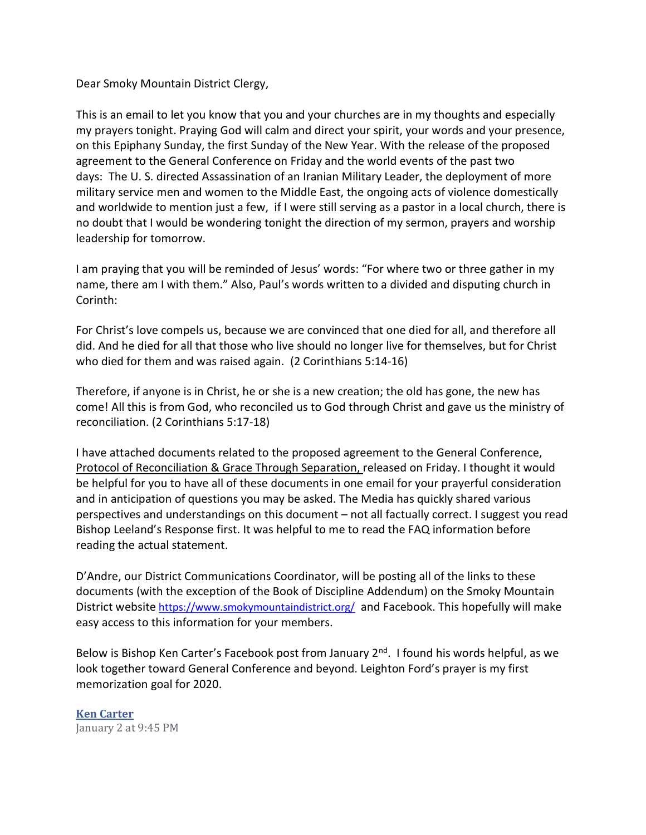## Dear Smoky Mountain District Clergy,

This is an email to let you know that you and your churches are in my thoughts and especially my prayers tonight. Praying God will calm and direct your spirit, your words and your presence, on this Epiphany Sunday, the first Sunday of the New Year. With the release of the proposed agreement to the General Conference on Friday and the world events of the past two days: The U. S. directed Assassination of an Iranian Military Leader, the deployment of more military service men and women to the Middle East, the ongoing acts of violence domestically and worldwide to mention just a few, if I were still serving as a pastor in a local church, there is no doubt that I would be wondering tonight the direction of my sermon, prayers and worship leadership for tomorrow.

I am praying that you will be reminded of Jesus' words: "For where two or three gather in my name, there am I with them." Also, Paul's words written to a divided and disputing church in Corinth:

For Christ's love compels us, because we are convinced that one died for all, and therefore all did. And he died for all that those who live should no longer live for themselves, but for Christ who died for them and was raised again. (2 Corinthians 5:14-16)

Therefore, if anyone is in Christ, he or she is a new creation; the old has gone, the new has come! All this is from God, who reconciled us to God through Christ and gave us the ministry of reconciliation. (2 Corinthians 5:17-18)

I have attached documents related to the proposed agreement to the General Conference, Protocol of Reconciliation & Grace Through Separation, released on Friday. I thought it would be helpful for you to have all of these documents in one email for your prayerful consideration and in anticipation of questions you may be asked. The Media has quickly shared various perspectives and understandings on this document – not all factually correct. I suggest you read Bishop Leeland's Response first. It was helpful to me to read the FAQ information before reading the actual statement.

D'Andre, our District Communications Coordinator, will be posting all of the links to these documents (with the exception of the Book of Discipline Addendum) on the Smoky Mountain District website https://www.smokymountaindistrict.org/ and Facebook. This hopefully will make easy access to this information for your members.

Below is Bishop Ken Carter's Facebook post from January 2<sup>nd</sup>. I found his words helpful, as we look together toward General Conference and beyond. Leighton Ford's prayer is my first memorization goal for 2020.

Ken Carter January 2 at 9:45 PM